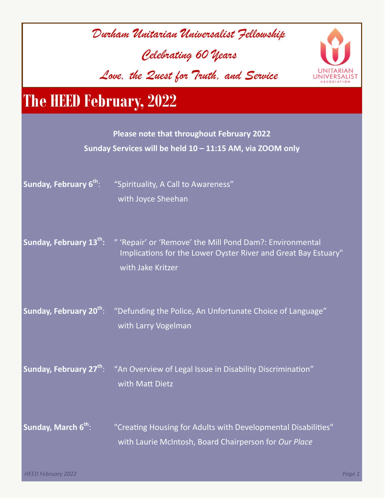| Durham Unitarian Universalist Fellowship<br>Celebrating 60 years<br>Love, the Zuest for Truth, and Service |                                                                                                                                                 |
|------------------------------------------------------------------------------------------------------------|-------------------------------------------------------------------------------------------------------------------------------------------------|
| <b>The HEED February, 2022</b>                                                                             |                                                                                                                                                 |
|                                                                                                            | <b>Please note that throughout February 2022</b><br>Sunday Services will be held 10 - 11:15 AM, via ZOOM only                                   |
| Sunday, February 6 <sup>th</sup> :                                                                         | "Spirituality, A Call to Awareness"<br>with Joyce Sheehan                                                                                       |
| Sunday, February 13th:                                                                                     | " 'Repair' or 'Remove' the Mill Pond Dam?: Environmental<br>Implications for the Lower Oyster River and Great Bay Estuary"<br>with Jake Kritzer |
|                                                                                                            | Sunday, February 20 <sup>th</sup> : "Defunding the Police, An Unfortunate Choice of Language"<br>with Larry Vogelman                            |
|                                                                                                            | Sunday, February 27 <sup>th</sup> : "An Overview of Legal Issue in Disability Discrimination"<br>with Matt Dietz                                |
| Sunday, March 6th:                                                                                         | "Creating Housing for Adults with Developmental Disabilities"<br>with Laurie McIntosh, Board Chairperson for Our Place                          |

Г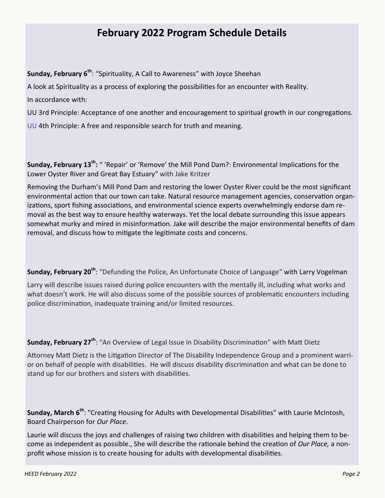# **February 2022 Program Schedule Details**

**Sunday, February 6th**: "Spirituality, A Call to Awareness" with Joyce Sheehan

A look at Spirituality as a process of exploring the possibilities for an encounter with Reality.

In accordance with:

UU 3rd Principle: Acceptance of one another and encouragement to spiritual growth in our congregations.

UU 4th Principle: A free and responsible search for truth and meaning.

**Sunday, February 13<sup>th</sup>:** " 'Repair' or 'Remove' the Mill Pond Dam?: Environmental Implications for the Lower Oyster River and Great Bay Estuary" with Jake Kritzer

Removing the Durham's Mill Pond Dam and restoring the lower Oyster River could be the most significant environmental action that our town can take. Natural resource management agencies, conservation organizations, sport fishing associations, and environmental science experts overwhelmingly endorse dam removal as the best way to ensure healthy waterways. Yet the local debate surrounding this issue appears somewhat murky and mired in misinformation. Jake will describe the major environmental benefits of dam removal, and discuss how to mitigate the legitimate costs and concerns.

**Sunday, February 20th** : "Defunding the Police, An Unfortunate Choice of Language" with Larry Vogelman

Larry will describe issues raised during police encounters with the mentally ill, including what works and what doesn't work. He will also discuss some of the possible sources of problematic encounters including police discrimination, inadequate training and/or limited resources.

**Sunday, February 27th** : "An Overview of Legal Issue in Disability Discrimination" with Matt Dietz

Attorney Matt Dietz is the Litigation Director of The Disability Independence Group and a prominent warrior on behalf of people with disabilities. He will discuss disability discrimination and what can be done to stand up for our brothers and sisters with disabilities.

**Sunday, March 6th** : "Creating Housing for Adults with Developmental Disabilities" with Laurie McIntosh, Board Chairperson for *Our Place*.

Laurie will discuss the joys and challenges of raising two children with disabilities and helping them to become as independent as possible., She will describe the rationale behind the creation of *Our Place,* a nonprofit whose mission is to create housing for adults with developmental disabilities.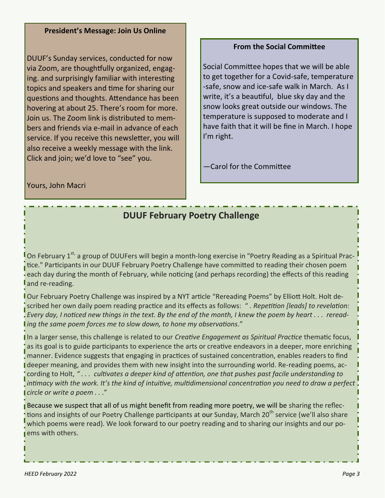# **President's Message: Join Us Online**

DUUF's Sunday services, conducted for now via Zoom, are thoughtfully organized, engaging. and surprisingly familiar with interesting topics and speakers and time for sharing our questions and thoughts. Attendance has been hovering at about 25. There's room for more. Join us. The Zoom link is distributed to members and friends via e-mail in advance of each service. If you receive this newsletter, you will also receive a weekly message with the link. Click and join; we'd love to "see" you.

# **From the Social Committee**

Social Committee hopes that we will be able to get together for a Covid-safe, temperature -safe, snow and ice-safe walk in March. As I write, it's a beautiful, blue sky day and the snow looks great outside our windows. The temperature is supposed to moderate and I have faith that it will be fine in March. I hope I'm right.

—Carol for the Committee

Yours, John Macri

# **DUUF February Poetry Challenge**

On February 1<sup>st,</sup> a group of DUUFers will begin a month-long exercise in "Poetry Reading as a Spiritual Practice." Participants in our DUUF February Poetry Challenge have committed to reading their chosen poem each day during the month of February, while noticing (and perhaps recording) the effects of this reading and re-reading.

Our February Poetry Challenge was inspired by a NYT article "Rereading Poems" by Elliott Holt. Holt described her own daily poem reading practice and its effects as follows: " *. Repetition [leads] to revelation: Every day, I noticed new things in the text. By the end of the month, I knew the poem by heart . . . rereading the same poem forces me to slow down, to hone my observations*."

In a larger sense, this challenge is related to our *Creative Engagement as Spiritual Practice* thematic focus, as its goal is to guide participants to experience the arts or creative endeavors in a deeper, more enriching manner. Evidence suggests that engaging in practices of sustained concentration, enables readers to find deeper meaning, and provides them with new insight into the surrounding world. Re-reading poems, according to Holt, *" . . . cultivates a deeper kind of attention, one that pushes past facile understanding to intimacy with the work. It's the kind of intuitive, multidimensional concentration you need to draw a perfect circle or write a poem . . .*"

Because we suspect that all of us might benefit from reading more poetry, we will be sharing the reflections and insights of our Poetry Challenge participants at our Sunday, March 20<sup>th</sup> service (we'll also share which poems were read). We look forward to our poetry reading and to sharing our insights and our poems with others.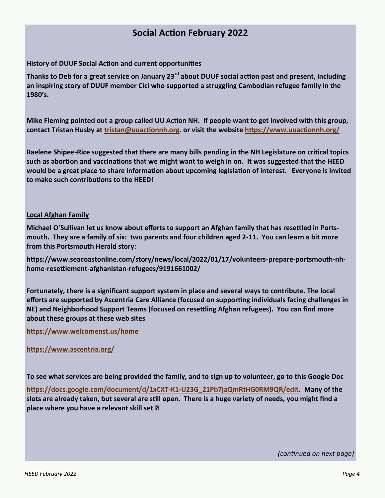# **Social Action February 2022**

#### **History of DUUF Social Action and current opportunities**

**Thanks to Deb for a great service on January 23rd about DUUF social action past and present, including an inspiring story of DUUF member Cici who supported a struggling Cambodian refugee family in the 1980's.**

**Mike Fleming pointed out a group called UU Action NH. If people want to get involved with this group, contact Tristan Husby at [tristan@uuactionnh.org.](mailto:tristan@uuactionnh.org) or visit the website <https://www.uuactionnh.org/>**

**Raelene Shipee-Rice suggested that there are many bills pending in the NH Legislature on critical topics such as abortion and vaccinations that we might want to weigh in on. It was suggested that the HEED would be a great place to share information about upcoming legislation of interest. Everyone is invited to make such contributions to the HEED!**

#### **Local Afghan Family**

**Michael O'Sullivan let us know about efforts to support an Afghan family that has resettled in Portsmouth. They are a family of six: two parents and four children aged 2-11. You can learn a bit more from this Portsmouth Herald story:**

**https://www.seacoastonline.com/story/news/local/2022/01/17/volunteers-prepare-portsmouth-nhhome-resettlement-afghanistan-refugees/9191661002/**

**Fortunately, there is a significant support system in place and several ways to contribute. The local efforts are supported by Ascentria Care Alliance (focused on supporting individuals facing challenges in NE) and Neighborhood Support Teams (focused on resettling Afghan refugees). You can find more about these groups at these web sites**

**<https://www.welcomenst.us/home>**

**<https://www.ascentria.org/>**

**To see what services are being provided the family, and to sign up to volunteer, go to this Google Doc**

**[https://docs.google.com/document/d/1xCXT](https://docs.google.com/document/d/1xCXT-K1-U23G_21Pb7jaQmRtHG0RM9QR/edit)-K1-U23G\_21Pb7jaQmRtHG0RM9QR/edit. Many of the slots are already taken, but several are still open. There is a huge variety of needs, you might find a place where you have a relevant skill set** 

*(continued on next page)*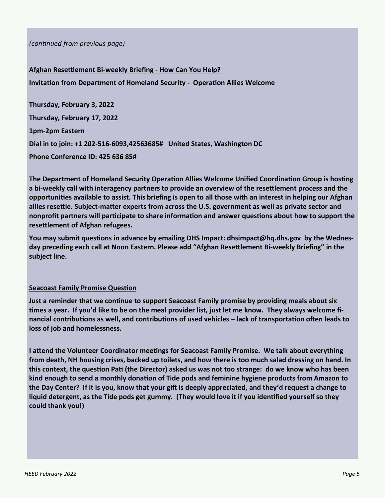*(continued from previous page)*

**Afghan Resettlement Bi-weekly Briefing - How Can You Help? Invitation from Department of Homeland Security - Operation Allies Welcome Thursday, February 3, 2022 Thursday, February 17, 2022 1pm-2pm Eastern**

**Dial in to join: +1 202-516-6093,42563685# United States, Washington DC**

**Phone Conference ID: 425 636 85#** 

**The Department of Homeland Security Operation Allies Welcome Unified Coordination Group is hosting a bi-weekly call with interagency partners to provide an overview of the resettlement process and the opportunities available to assist. This briefing is open to all those with an interest in helping our Afghan allies resettle. Subject-matter experts from across the U.S. government as well as private sector and nonprofit partners will participate to share information and answer questions about how to support the resettlement of Afghan refugees.**

**You may submit questions in advance by emailing DHS Impact: dhsimpact@hq.dhs.gov by the Wednesday preceding each call at Noon Eastern. Please add "Afghan Resettlement Bi-weekly Briefing" in the subject line.**

## **Seacoast Family Promise Question**

**Just a reminder that we continue to support Seacoast Family promise by providing meals about six times a year. If you'd like to be on the meal provider list, just let me know. They always welcome financial contributions as well, and contributions of used vehicles – lack of transportation often leads to loss of job and homelessness.**

**I attend the Volunteer Coordinator meetings for Seacoast Family Promise. We talk about everything from death, NH housing crises, backed up toilets, and how there is too much salad dressing on hand. In this context, the question Pati (the Director) asked us was not too strange: do we know who has been kind enough to send a monthly donation of Tide pods and feminine hygiene products from Amazon to the Day Center? If it is you, know that your gift is deeply appreciated, and they'd request a change to liquid detergent, as the Tide pods get gummy. (They would love it if you identified yourself so they could thank you!)**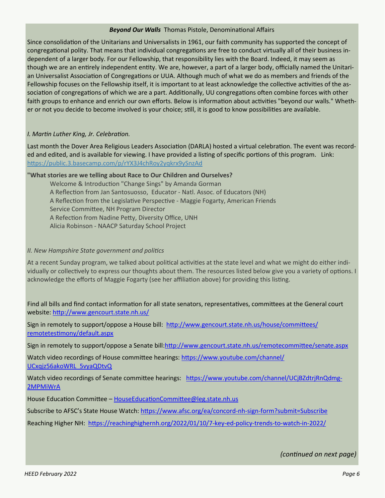#### *Beyond Our Walls* Thomas Pistole, Denominational Affairs

Since consolidation of the Unitarians and Universalists in 1961, our faith community has supported the concept of congregational polity. That means that individual congregations are free to conduct virtually all of their business independent of a larger body. For our Fellowship, that responsibility lies with the Board. Indeed, it may seem as though we are an entirely independent entity. We are, however, a part of a larger body, officially named the Unitarian Universalist Association of Congregations or UUA. Although much of what we do as members and friends of the Fellowship focuses on the Fellowship itself, it is important to at least acknowledge the collective activities of the association of congregations of which we are a part. Additionally, UU congregations often combine forces with other faith groups to enhance and enrich our own efforts. Below is information about activities "beyond our walls." Whether or not you decide to become involved is your choice; still, it is good to know possibilities are available.

#### *I. Martin Luther King, Jr. Celebration.*

Last month the Dover Area Religious Leaders Association (DARLA) hosted a virtual celebration. The event was recorded and edited, and is available for viewing. I have provided a listing of specific portions of this program. Link: <https://public.3.basecamp.com/p/rYX3J4chRoy2yqkrx9ySnzAd>

#### **"What stories are we telling about Race to Our Children and Ourselves?**

Welcome & Introduction "Change Sings" by Amanda Gorman A Reflection from Jan Santosuosso, Educator - Natl. Assoc. of Educators (NH) A Reflection from the Legislative Perspective - Maggie Fogarty, American Friends Service Committee, NH Program Director A Refection from Nadine Petty, Diversity Office, UNH Alicia Robinson - NAACP Saturday School Project

#### *II. New Hampshire State government and politics*

At a recent Sunday program, we talked about political activities at the state level and what we might do either individually or collectively to express our thoughts about them. The resources listed below give you a variety of options. I acknowledge the efforts of Maggie Fogarty (see her affiliation above) for providing this listing.

Find all bills and find contact information for all state senators, representatives, committees at the General court website: <http://www.gencourt.state.nh.us/>

Sign in remotely to support/oppose a House bill: [http://www.gencourt.state.nh.us/house/committees/](http://www.gencourt.state.nh.us/house/committees/remotetestimony/default.aspx) [remotetestimony/default.aspx](http://www.gencourt.state.nh.us/house/committees/remotetestimony/default.aspx)

Sign in remotely to support/oppose a Senate bill[:http://www.gencourt.state.nh.us/remotecommittee/senate.aspx](http://www.gencourt.state.nh.us/remotecommittee/senate.aspx)

Watch video recordings of House committee hearings: [https://www.youtube.com/channel/](https://www.youtube.com/channel/UCxqjz56akoWRL_5vyaQDtvQ) [UCxqjz56akoWRL\\_5vyaQDtvQ](https://www.youtube.com/channel/UCxqjz56akoWRL_5vyaQDtvQ)

Watch video recordings of Senate committee hearings: [https://www.youtube.com/channel/UCjBZdtrjRnQdmg](https://www.youtube.com/channel/UCjBZdtrjRnQdmg-2MPMiWrA)-[2MPMiWrA](https://www.youtube.com/channel/UCjBZdtrjRnQdmg-2MPMiWrA)

House Education Committee – [HouseEducationCommittee@leg.state.nh.us](mailto:HouseEducationCommittee@leg.state.nh.us)

Subscribe to AFSC's State House Watch: [https://www.afsc.org/ea/concord](https://www.afsc.org/ea/concord-nh-sign-form?submit=Subscribe)-nh-sign-form?submit=Subscribe

Reaching Higher NH: [https://reachinghighernh.org/2022/01/10/7](https://reachinghighernh.org/2022/01/10/7-key-ed-policy-trends-to-watch-in-2022/)-key-ed-policy-trends-to-watch-in-2022/

*(continued on next page)*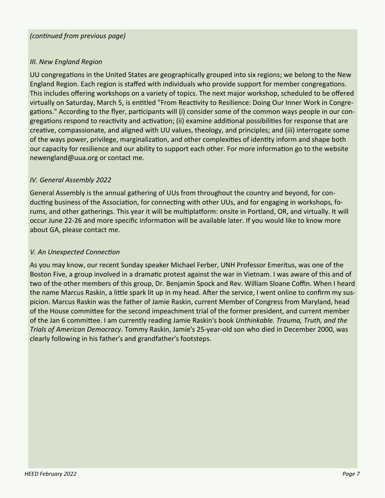### *(continued from previous page)*

### *III. New England Region*

UU congregations in the United States are geographically grouped into six regions; we belong to the New England Region. Each region is staffed with individuals who provide support for member congregations. This includes offering workshops on a variety of topics. The next major workshop, scheduled to be offered virtually on Saturday, March 5, is entitled "From Reactivity to Resilience: Doing Our Inner Work in Congregations." According to the flyer, participants will (i) consider some of the common ways people in our congregations respond to reactivity and activation; (ii) examine additional possibilities for response that are creative, compassionate, and aligned with UU values, theology, and principles; and (iii) interrogate some of the ways power, privilege, marginalization, and other complexities of identity inform and shape both our capacity for resilience and our ability to support each other. For more information go to the website newengland@uua.org or contact me.

### *IV. General Assembly 2022*

General Assembly is the annual gathering of UUs from throughout the country and beyond, for conducting business of the Association, for connecting with other UUs, and for engaging in workshops, forums, and other gatherings. This year it will be multiplatform: onsite in Portland, OR, and virtually. It will occur June 22-26 and more specific information will be available later. If you would like to know more about GA, please contact me.

## *V. An Unexpected Connection*

As you may know, our recent Sunday speaker Michael Ferber, UNH Professor Emeritus, was one of the Boston Five, a group involved in a dramatic protest against the war in Vietnam. I was aware of this and of two of the other members of this group, Dr. Benjamin Spock and Rev. William Sloane Coffin. When I heard the name Marcus Raskin, a little spark lit up in my head. After the service, I went online to confirm my suspicion. Marcus Raskin was the father of Jamie Raskin, current Member of Congress from Maryland, head of the House committee for the second impeachment trial of the former president, and current member of the Jan 6 committee. I am currently reading Jamie Raskin's book *Unthinkable. Trauma, Truth, and the Trials of American Democracy*. Tommy Raskin, Jamie's 25-year-old son who died in December 2000, was clearly following in his father's and grandfather's footsteps.